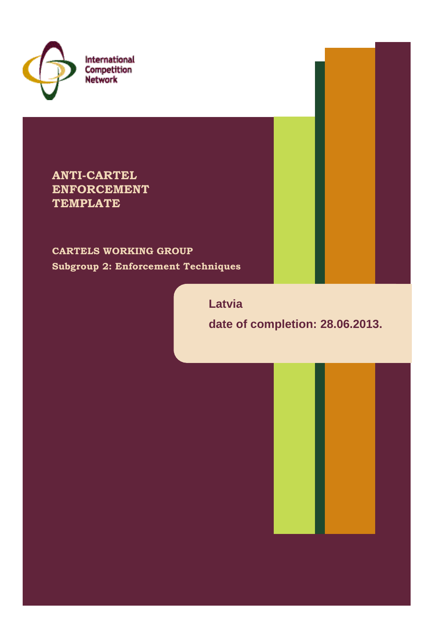

International Competition **Network** 

**ANTI-CARTEL ENFORCEMENT TEMPLATE**

**CARTELS WORKING GROUP Subgroup 2: Enforcement Techniques**

**Latvia**

**date of completion: 28.06.2013.**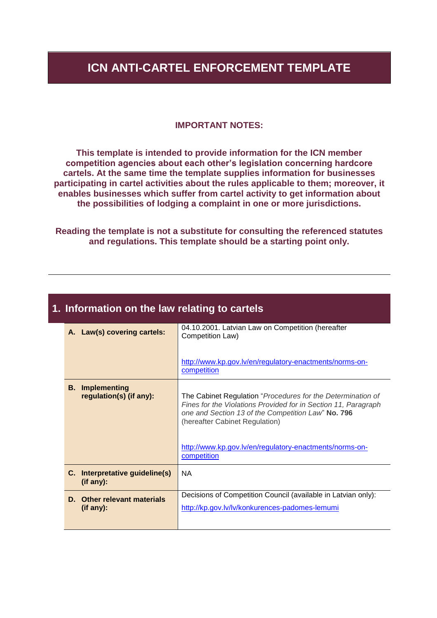### **ICN ANTI-CARTEL ENFORCEMENT TEMPLATE**

#### **IMPORTANT NOTES:**

**This template is intended to provide information for the ICN member competition agencies about each other's legislation concerning hardcore cartels. At the same time the template supplies information for businesses participating in cartel activities about the rules applicable to them; moreover, it enables businesses which suffer from cartel activity to get information about the possibilities of lodging a complaint in one or more jurisdictions.**

**Reading the template is not a substitute for consulting the referenced statutes and regulations. This template should be a starting point only.**

| 1. Information on the law relating to cartels |                                                    |                                                                                                                                                                                                                                                                                                 |
|-----------------------------------------------|----------------------------------------------------|-------------------------------------------------------------------------------------------------------------------------------------------------------------------------------------------------------------------------------------------------------------------------------------------------|
|                                               | A. Law(s) covering cartels:                        | 04.10.2001. Latvian Law on Competition (hereafter<br>Competition Law)                                                                                                                                                                                                                           |
|                                               |                                                    | http://www.kp.gov.lv/en/regulatory-enactments/norms-on-<br>competition                                                                                                                                                                                                                          |
|                                               | <b>B.</b> Implementing<br>regulation(s) (if any):  | The Cabinet Regulation "Procedures for the Determination of<br>Fines for the Violations Provided for in Section 11, Paragraph<br>one and Section 13 of the Competition Law" No. 796<br>(hereafter Cabinet Regulation)<br>http://www.kp.gov.lv/en/regulatory-enactments/norms-on-<br>competition |
|                                               | C. Interpretative guideline(s)<br>$($ if any $)$ : | <b>NA</b>                                                                                                                                                                                                                                                                                       |
|                                               | D. Other relevant materials<br>$($ if any $)$ :    | Decisions of Competition Council (available in Latvian only):<br>http://kp.gov.lv/lv/konkurences-padomes-lemumi                                                                                                                                                                                 |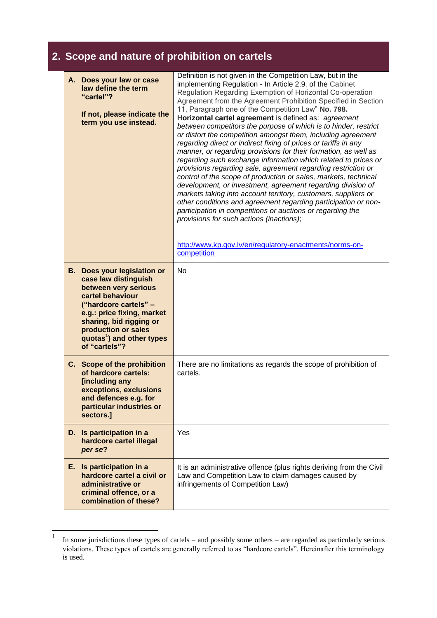## **2. Scope and nature of prohibition on cartels**

| A. Does your law or case<br>law define the term<br>"cartel"?<br>If not, please indicate the<br>term you use instead.                                                                                                                                                      | Definition is not given in the Competition Law, but in the<br>implementing Regulation - In Article 2.9. of the Cabinet<br>Regulation Regarding Exemption of Horizontal Co-operation<br>Agreement from the Agreement Prohibition Specified in Section<br>11, Paragraph one of the Competition Law" No. 798.<br>Horizontal cartel agreement is defined as: agreement<br>between competitors the purpose of which is to hinder, restrict<br>or distort the competition amongst them, including agreement<br>regarding direct or indirect fixing of prices or tariffs in any<br>manner, or regarding provisions for their formation, as well as<br>regarding such exchange information which related to prices or<br>provisions regarding sale, agreement regarding restriction or<br>control of the scope of production or sales, markets, technical<br>development, or investment, agreement regarding division of<br>markets taking into account territory, customers, suppliers or<br>other conditions and agreement regarding participation or non-<br>participation in competitions or auctions or regarding the<br>provisions for such actions (inactions);<br>http://www.kp.gov.lv/en/regulatory-enactments/norms-on-<br>competition |
|---------------------------------------------------------------------------------------------------------------------------------------------------------------------------------------------------------------------------------------------------------------------------|------------------------------------------------------------------------------------------------------------------------------------------------------------------------------------------------------------------------------------------------------------------------------------------------------------------------------------------------------------------------------------------------------------------------------------------------------------------------------------------------------------------------------------------------------------------------------------------------------------------------------------------------------------------------------------------------------------------------------------------------------------------------------------------------------------------------------------------------------------------------------------------------------------------------------------------------------------------------------------------------------------------------------------------------------------------------------------------------------------------------------------------------------------------------------------------------------------------------------------------|
| <b>B.</b> Does your legislation or<br>case law distinguish<br>between very serious<br>cartel behaviour<br>("hardcore cartels" -<br>e.g.: price fixing, market<br>sharing, bid rigging or<br>production or sales<br>quotas <sup>1</sup> ) and other types<br>of "cartels"? | No                                                                                                                                                                                                                                                                                                                                                                                                                                                                                                                                                                                                                                                                                                                                                                                                                                                                                                                                                                                                                                                                                                                                                                                                                                       |
| C. Scope of the prohibition<br>of hardcore cartels:<br>[including any<br>exceptions, exclusions<br>and defences e.g. for<br>particular industries or<br>sectors.]                                                                                                         | There are no limitations as regards the scope of prohibition of<br>cartels.                                                                                                                                                                                                                                                                                                                                                                                                                                                                                                                                                                                                                                                                                                                                                                                                                                                                                                                                                                                                                                                                                                                                                              |
| D. Is participation in a<br>hardcore cartel illegal<br>per se?                                                                                                                                                                                                            | Yes                                                                                                                                                                                                                                                                                                                                                                                                                                                                                                                                                                                                                                                                                                                                                                                                                                                                                                                                                                                                                                                                                                                                                                                                                                      |
| E. Is participation in a<br>hardcore cartel a civil or<br>administrative or<br>criminal offence, or a<br>combination of these?                                                                                                                                            | It is an administrative offence (plus rights deriving from the Civil<br>Law and Competition Law to claim damages caused by<br>infringements of Competition Law)                                                                                                                                                                                                                                                                                                                                                                                                                                                                                                                                                                                                                                                                                                                                                                                                                                                                                                                                                                                                                                                                          |

 $\frac{1}{1}$ In some jurisdictions these types of cartels – and possibly some others – are regarded as particularly serious violations. These types of cartels are generally referred to as "hardcore cartels". Hereinafter this terminology is used.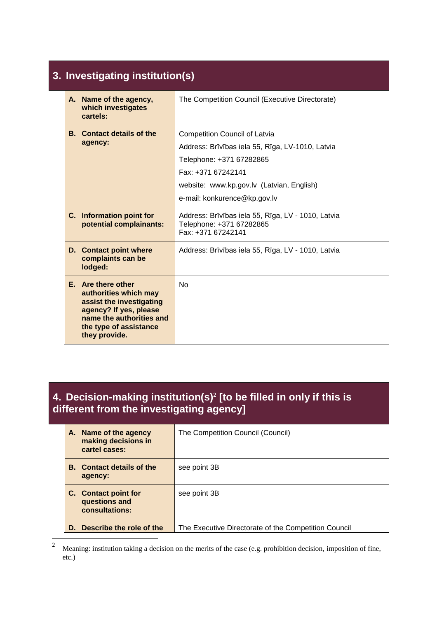#### **3. Investigating institution(s) A. Name of the agency, which investigates cartels:** The Competition Council (Executive Directorate) **B. Contact details of the agency:** Competition Council of Latvia Address: Brīvības iela 55, Rīga, LV-1010, Latvia Telephone: +371 67282865 Fax: +371 67242141 website: www.kp.gov.lv (Latvian, English) e-mail: konkurence@kp.gov.lv **C. Information point for potential complainants:** Address: Brīvības iela 55, Rīga, LV - 1010, Latvia Telephone: +371 67282865 Fax: +371 67242141 **D. Contact point where complaints can be lodged:** Address: Brīvības iela 55, Rīga, LV - 1010, Latvia **E. Are there other authorities which may assist the investigating agency? If yes, please name the authorities and the type of assistance they provide.** No

### **4. Decision-making institution(s)<sup>2</sup> [to be filled in only if this is different from the investigating agency]**

| A. Name of the agency<br>making decisions in<br>cartel cases: | The Competition Council (Council)                    |
|---------------------------------------------------------------|------------------------------------------------------|
| <b>B.</b> Contact details of the<br>agency:                   | see point 3B                                         |
| C. Contact point for<br>questions and<br>consultations:       | see point 3B                                         |
| Describe the role of the<br>D.                                | The Executive Directorate of the Competition Council |

 $\overline{c}$ <sup>2</sup> Meaning: institution taking a decision on the merits of the case (e.g. prohibition decision, imposition of fine, etc.)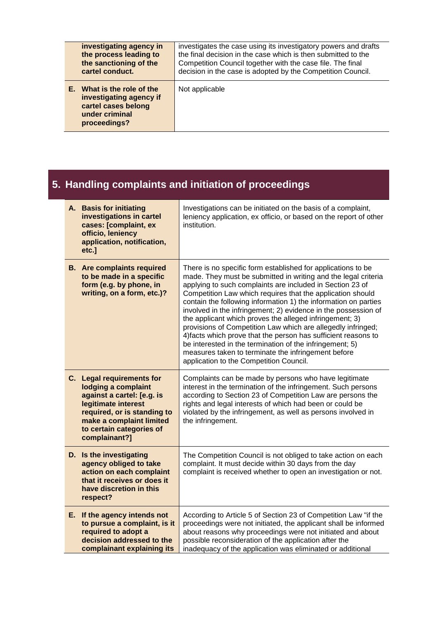| investigating agency in                                                                                        | investigates the case using its investigatory powers and drafts |
|----------------------------------------------------------------------------------------------------------------|-----------------------------------------------------------------|
| the process leading to                                                                                         | the final decision in the case which is then submitted to the   |
| the sanctioning of the                                                                                         | Competition Council together with the case file. The final      |
| cartel conduct.                                                                                                | decision in the case is adopted by the Competition Council.     |
| E. What is the role of the<br>investigating agency if<br>cartel cases belong<br>under criminal<br>proceedings? | Not applicable                                                  |

| 5. Handling complaints and initiation of proceedings |                                                                                                                                                                                                               |                                                                                                                                                                                                                                                                                                                                                                                                                                                                                                                                                                                                                                                                                                                                                           |
|------------------------------------------------------|---------------------------------------------------------------------------------------------------------------------------------------------------------------------------------------------------------------|-----------------------------------------------------------------------------------------------------------------------------------------------------------------------------------------------------------------------------------------------------------------------------------------------------------------------------------------------------------------------------------------------------------------------------------------------------------------------------------------------------------------------------------------------------------------------------------------------------------------------------------------------------------------------------------------------------------------------------------------------------------|
|                                                      | A. Basis for initiating<br>investigations in cartel<br>cases: [complaint, ex<br>officio, leniency<br>application, notification,<br>etc.]                                                                      | Investigations can be initiated on the basis of a complaint,<br>leniency application, ex officio, or based on the report of other<br>institution.                                                                                                                                                                                                                                                                                                                                                                                                                                                                                                                                                                                                         |
|                                                      | <b>B.</b> Are complaints required<br>to be made in a specific<br>form (e.g. by phone, in<br>writing, on a form, etc.)?                                                                                        | There is no specific form established for applications to be<br>made. They must be submitted in writing and the legal criteria<br>applying to such complaints are included in Section 23 of<br>Competition Law which requires that the application should<br>contain the following information 1) the information on parties<br>involved in the infringement; 2) evidence in the possession of<br>the applicant which proves the alleged infringement; 3)<br>provisions of Competition Law which are allegedly infringed;<br>4) facts which prove that the person has sufficient reasons to<br>be interested in the termination of the infringement; 5)<br>measures taken to terminate the infringement before<br>application to the Competition Council. |
|                                                      | C. Legal requirements for<br>lodging a complaint<br>against a cartel: [e.g. is<br>legitimate interest<br>required, or is standing to<br>make a complaint limited<br>to certain categories of<br>complainant?] | Complaints can be made by persons who have legitimate<br>interest in the termination of the infringement. Such persons<br>according to Section 23 of Competition Law are persons the<br>rights and legal interests of which had been or could be<br>violated by the infringement, as well as persons involved in<br>the infringement.                                                                                                                                                                                                                                                                                                                                                                                                                     |
|                                                      | D. Is the investigating<br>agency obliged to take<br>action on each complaint<br>that it receives or does it<br>have discretion in this<br>respect?                                                           | The Competition Council is not obliged to take action on each<br>complaint. It must decide within 30 days from the day<br>complaint is received whether to open an investigation or not.                                                                                                                                                                                                                                                                                                                                                                                                                                                                                                                                                                  |
|                                                      | E. If the agency intends not<br>to pursue a complaint, is it<br>required to adopt a<br>decision addressed to the                                                                                              | According to Article 5 of Section 23 of Competition Law "if the<br>proceedings were not initiated, the applicant shall be informed<br>about reasons why proceedings were not initiated and about<br>possible reconsideration of the application after the                                                                                                                                                                                                                                                                                                                                                                                                                                                                                                 |

inadequacy of the application was eliminated or additional

**complainant explaining its**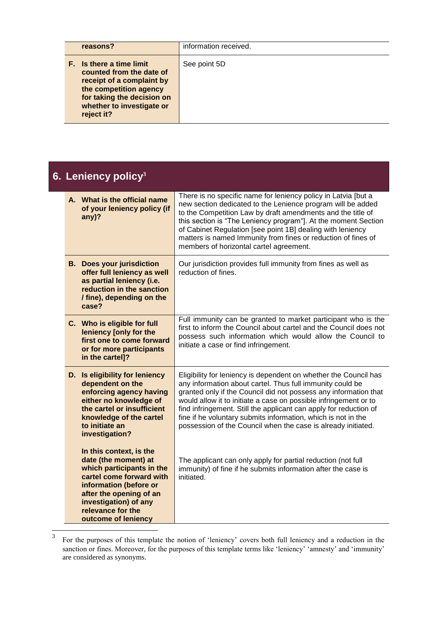| reasons?                                                                                                                                                                                    | information received. |
|---------------------------------------------------------------------------------------------------------------------------------------------------------------------------------------------|-----------------------|
| <b>F.</b> Is there a time limit<br>counted from the date of<br>receipt of a complaint by<br>the competition agency<br>for taking the decision on<br>whether to investigate or<br>reject it? | See point 5D          |

| 6. Leniency policy $3$                               |                                                                                                                                                                                                               |                                                                                                                                                                                                                                                                                                                                                                                                                                                                              |
|------------------------------------------------------|---------------------------------------------------------------------------------------------------------------------------------------------------------------------------------------------------------------|------------------------------------------------------------------------------------------------------------------------------------------------------------------------------------------------------------------------------------------------------------------------------------------------------------------------------------------------------------------------------------------------------------------------------------------------------------------------------|
| any)?                                                | A. What is the official name<br>of your leniency policy (if                                                                                                                                                   | There is no specific name for leniency policy in Latvia [but a<br>new section dedicated to the Lenience program will be added<br>to the Competition Law by draft amendments and the title of<br>this section is "The Leniency program"]. At the moment Section<br>of Cabinet Regulation [see point 1B] dealing with leniency<br>matters is named Immunity from fines or reduction of fines of<br>members of horizontal cartel agreement.                                     |
| case?                                                | <b>B.</b> Does your jurisdiction<br>offer full leniency as well<br>as partial leniency (i.e.<br>reduction in the sanction<br>/ fine), depending on the                                                        | Our jurisdiction provides full immunity from fines as well as<br>reduction of fines.                                                                                                                                                                                                                                                                                                                                                                                         |
| in the cartel]?                                      | C. Who is eligible for full<br>leniency [only for the<br>first one to come forward<br>or for more participants                                                                                                | Full immunity can be granted to market participant who is the<br>first to inform the Council about cartel and the Council does not<br>possess such information which would allow the Council to<br>initiate a case or find infringement.                                                                                                                                                                                                                                     |
| dependent on the<br>to initiate an<br>investigation? | D. Is eligibility for leniency<br>enforcing agency having<br>either no knowledge of<br>the cartel or insufficient<br>knowledge of the cartel                                                                  | Eligibility for leniency is dependent on whether the Council has<br>any information about cartel. Thus full immunity could be<br>granted only if the Council did not possess any information that<br>would allow it to initiate a case on possible infringement or to<br>find infringement. Still the applicant can apply for reduction of<br>fine if he voluntary submits information, which is not in the<br>possession of the Council when the case is already initiated. |
| relevance for the                                    | In this context, is the<br>date (the moment) at<br>which participants in the<br>cartel come forward with<br>information (before or<br>after the opening of an<br>investigation) of any<br>outcome of leniency | The applicant can only apply for partial reduction (not full<br>immunity) of fine if he submits information after the case is<br>initiated.                                                                                                                                                                                                                                                                                                                                  |

 $\frac{1}{3}$ For the purposes of this template the notion of 'leniency' covers both full leniency and a reduction in the sanction or fines. Moreover, for the purposes of this template terms like 'leniency' 'amnesty' and 'immunity' are considered as synonyms.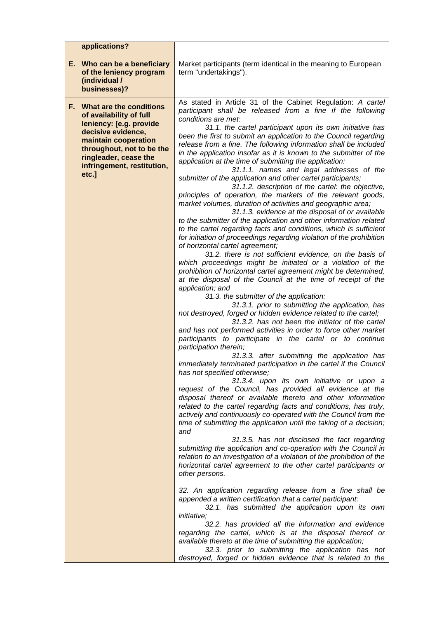| applications?                                                                                                                                                                                                               |                                                                                                                                                                                                                                                                                                                                                                                                                                                                                                                                                                                                                                                                                                                                                                                                                                                                                                                                                                                                                                                                                                                                                                                                                                                                                                                                                                                                                                                                                                                                                                                                                                                                                                                                                                                                                                                                                                                                                                                                                                                                                                                                                                                                                                                                                                                                                                                                                                                                                                                                                                                                                                                                                                                                                                                                                                                                                                                                                                                                                                                                                                           |
|-----------------------------------------------------------------------------------------------------------------------------------------------------------------------------------------------------------------------------|-----------------------------------------------------------------------------------------------------------------------------------------------------------------------------------------------------------------------------------------------------------------------------------------------------------------------------------------------------------------------------------------------------------------------------------------------------------------------------------------------------------------------------------------------------------------------------------------------------------------------------------------------------------------------------------------------------------------------------------------------------------------------------------------------------------------------------------------------------------------------------------------------------------------------------------------------------------------------------------------------------------------------------------------------------------------------------------------------------------------------------------------------------------------------------------------------------------------------------------------------------------------------------------------------------------------------------------------------------------------------------------------------------------------------------------------------------------------------------------------------------------------------------------------------------------------------------------------------------------------------------------------------------------------------------------------------------------------------------------------------------------------------------------------------------------------------------------------------------------------------------------------------------------------------------------------------------------------------------------------------------------------------------------------------------------------------------------------------------------------------------------------------------------------------------------------------------------------------------------------------------------------------------------------------------------------------------------------------------------------------------------------------------------------------------------------------------------------------------------------------------------------------------------------------------------------------------------------------------------------------------------------------------------------------------------------------------------------------------------------------------------------------------------------------------------------------------------------------------------------------------------------------------------------------------------------------------------------------------------------------------------------------------------------------------------------------------------------------------------|
| E. Who can be a beneficiary<br>of the leniency program<br>(individual /<br>businesses)?                                                                                                                                     | Market participants (term identical in the meaning to European<br>term "undertakings").                                                                                                                                                                                                                                                                                                                                                                                                                                                                                                                                                                                                                                                                                                                                                                                                                                                                                                                                                                                                                                                                                                                                                                                                                                                                                                                                                                                                                                                                                                                                                                                                                                                                                                                                                                                                                                                                                                                                                                                                                                                                                                                                                                                                                                                                                                                                                                                                                                                                                                                                                                                                                                                                                                                                                                                                                                                                                                                                                                                                                   |
| F. What are the conditions<br>of availability of full<br>leniency: [e.g. provide<br>decisive evidence,<br>maintain cooperation<br>throughout, not to be the<br>ringleader, cease the<br>infringement, restitution,<br>etc.] | As stated in Article 31 of the Cabinet Regulation: A cartel<br>participant shall be released from a fine if the following<br>conditions are met:<br>31.1. the cartel participant upon its own initiative has<br>been the first to submit an application to the Council regarding<br>release from a fine. The following information shall be included<br>in the application insofar as it is known to the submitter of the<br>application at the time of submitting the application:<br>31.1.1. names and legal addresses of the<br>submitter of the application and other cartel participants;<br>31.1.2. description of the cartel: the objective,<br>principles of operation, the markets of the relevant goods,<br>market volumes, duration of activities and geographic area;<br>31.1.3. evidence at the disposal of or available<br>to the submitter of the application and other information related<br>to the cartel regarding facts and conditions, which is sufficient<br>for initiation of proceedings regarding violation of the prohibition<br>of horizontal cartel agreement;<br>31.2. there is not sufficient evidence, on the basis of<br>which proceedings might be initiated or a violation of the<br>prohibition of horizontal cartel agreement might be determined,<br>at the disposal of the Council at the time of receipt of the<br>application; and<br>31.3. the submitter of the application:<br>31.3.1. prior to submitting the application, has<br>not destroyed, forged or hidden evidence related to the cartel;<br>31.3.2. has not been the initiator of the cartel<br>and has not performed activities in order to force other market<br>participants to participate in the cartel or to continue<br>participation therein;<br>31.3.3. after submitting the application has<br>immediately terminated participation in the cartel if the Council<br>has not specified otherwise;<br>31.3.4. upon its own initiative or upon a<br>request of the Council, has provided all evidence at the<br>disposal thereof or available thereto and other information<br>related to the cartel regarding facts and conditions, has truly,<br>actively and continuously co-operated with the Council from the<br>time of submitting the application until the taking of a decision;<br>and<br>31.3.5. has not disclosed the fact regarding<br>submitting the application and co-operation with the Council in<br>relation to an investigation of a violation of the prohibition of the<br>horizontal cartel agreement to the other cartel participants or<br>other persons.<br>32. An application regarding release from a fine shall be<br>appended a written certification that a cartel participant:<br>32.1. has submitted the application upon its own<br><i>initiative:</i><br>32.2. has provided all the information and evidence<br>regarding the cartel, which is at the disposal thereof or<br>available thereto at the time of submitting the application;<br>32.3. prior to submitting the application has not<br>destroyed, forged or hidden evidence that is related to the |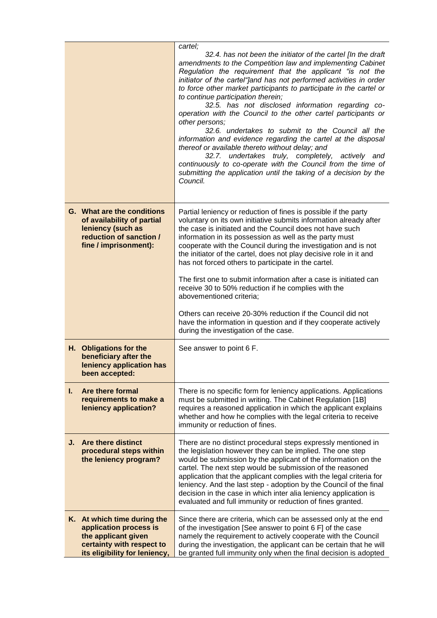|    |                                                                                                                                            | cartel;<br>32.4. has not been the initiator of the cartel [In the draft<br>amendments to the Competition law and implementing Cabinet<br>Regulation the requirement that the applicant "is not the<br>initiator of the cartel"Jand has not performed activities in order<br>to force other market participants to participate in the cartel or<br>to continue participation therein;<br>32.5. has not disclosed information regarding co-<br>operation with the Council to the other cartel participants or<br>other persons;<br>32.6. undertakes to submit to the Council all the<br>information and evidence regarding the cartel at the disposal<br>thereof or available thereto without delay; and<br>32.7. undertakes truly, completely, actively and<br>continuously to co-operate with the Council from the time of<br>submitting the application until the taking of a decision by the<br>Council. |
|----|--------------------------------------------------------------------------------------------------------------------------------------------|------------------------------------------------------------------------------------------------------------------------------------------------------------------------------------------------------------------------------------------------------------------------------------------------------------------------------------------------------------------------------------------------------------------------------------------------------------------------------------------------------------------------------------------------------------------------------------------------------------------------------------------------------------------------------------------------------------------------------------------------------------------------------------------------------------------------------------------------------------------------------------------------------------|
|    | G. What are the conditions<br>of availability of partial<br>leniency (such as<br>reduction of sanction /<br>fine / imprisonment):          | Partial leniency or reduction of fines is possible if the party<br>voluntary on its own initiative submits information already after<br>the case is initiated and the Council does not have such<br>information in its possession as well as the party must<br>cooperate with the Council during the investigation and is not<br>the initiator of the cartel, does not play decisive role in it and<br>has not forced others to participate in the cartel.<br>The first one to submit information after a case is initiated can<br>receive 30 to 50% reduction if he complies with the<br>abovementioned criteria;<br>Others can receive 20-30% reduction if the Council did not<br>have the information in question and if they cooperate actively<br>during the investigation of the case.                                                                                                               |
|    | H. Obligations for the<br>beneficiary after the<br>leniency application has<br>been accepted:                                              | See answer to point 6 F.                                                                                                                                                                                                                                                                                                                                                                                                                                                                                                                                                                                                                                                                                                                                                                                                                                                                                   |
| Ъ. | Are there formal<br>requirements to make a<br>leniency application?                                                                        | There is no specific form for leniency applications. Applications<br>must be submitted in writing. The Cabinet Regulation [1B]<br>requires a reasoned application in which the applicant explains<br>whether and how he complies with the legal criteria to receive<br>immunity or reduction of fines.                                                                                                                                                                                                                                                                                                                                                                                                                                                                                                                                                                                                     |
| J. | Are there distinct<br>procedural steps within<br>the leniency program?                                                                     | There are no distinct procedural steps expressly mentioned in<br>the legislation however they can be implied. The one step<br>would be submission by the applicant of the information on the<br>cartel. The next step would be submission of the reasoned<br>application that the applicant complies with the legal criteria for<br>leniency. And the last step - adoption by the Council of the final<br>decision in the case in which inter alia leniency application is<br>evaluated and full immunity or reduction of fines granted.                                                                                                                                                                                                                                                                                                                                                                   |
|    | K. At which time during the<br>application process is<br>the applicant given<br>certainty with respect to<br>its eligibility for leniency, | Since there are criteria, which can be assessed only at the end<br>of the investigation [See answer to point 6 F] of the case<br>namely the requirement to actively cooperate with the Council<br>during the investigation, the applicant can be certain that he will<br>be granted full immunity only when the final decision is adopted                                                                                                                                                                                                                                                                                                                                                                                                                                                                                                                                                                  |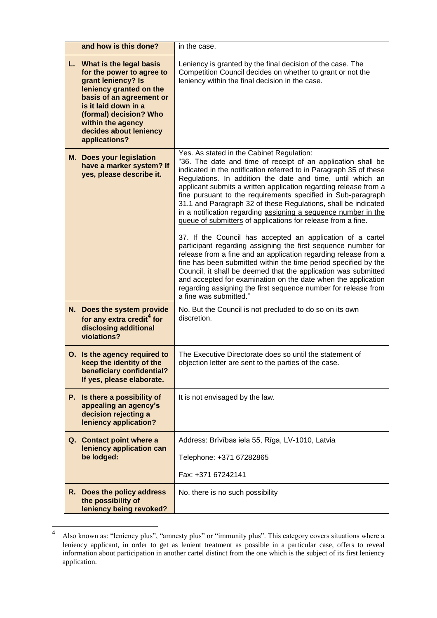| and how is this done?                                                                                                                                                                                                                                  | in the case.                                                                                                                                                                                                                                                                                                                                                                                                                                                                                                                                                                          |
|--------------------------------------------------------------------------------------------------------------------------------------------------------------------------------------------------------------------------------------------------------|---------------------------------------------------------------------------------------------------------------------------------------------------------------------------------------------------------------------------------------------------------------------------------------------------------------------------------------------------------------------------------------------------------------------------------------------------------------------------------------------------------------------------------------------------------------------------------------|
| L. What is the legal basis<br>for the power to agree to<br>grant leniency? Is<br>leniency granted on the<br>basis of an agreement or<br>is it laid down in a<br>(formal) decision? Who<br>within the agency<br>decides about leniency<br>applications? | Leniency is granted by the final decision of the case. The<br>Competition Council decides on whether to grant or not the<br>leniency within the final decision in the case.                                                                                                                                                                                                                                                                                                                                                                                                           |
| <b>M.</b> Does your legislation<br>have a marker system? If<br>yes, please describe it.                                                                                                                                                                | Yes. As stated in the Cabinet Regulation:<br>"36. The date and time of receipt of an application shall be<br>indicated in the notification referred to in Paragraph 35 of these<br>Regulations. In addition the date and time, until which an<br>applicant submits a written application regarding release from a<br>fine pursuant to the requirements specified in Sub-paragraph<br>31.1 and Paragraph 32 of these Regulations, shall be indicated<br>in a notification regarding assigning a sequence number in the<br>queue of submitters of applications for release from a fine. |
|                                                                                                                                                                                                                                                        | 37. If the Council has accepted an application of a cartel<br>participant regarding assigning the first sequence number for<br>release from a fine and an application regarding release from a<br>fine has been submitted within the time period specified by the<br>Council, it shall be deemed that the application was submitted<br>and accepted for examination on the date when the application<br>regarding assigning the first sequence number for release from<br>a fine was submitted."                                                                                      |
| N. Does the system provide<br>for any extra credit <sup>4</sup> for<br>disclosing additional<br>violations?                                                                                                                                            | No. But the Council is not precluded to do so on its own<br>discretion.                                                                                                                                                                                                                                                                                                                                                                                                                                                                                                               |
| O. Is the agency required to<br>keep the identity of the<br>beneficiary confidential?<br>If yes, please elaborate.                                                                                                                                     | The Executive Directorate does so until the statement of<br>objection letter are sent to the parties of the case.                                                                                                                                                                                                                                                                                                                                                                                                                                                                     |
| P. Is there a possibility of<br>appealing an agency's<br>decision rejecting a<br>leniency application?                                                                                                                                                 | It is not envisaged by the law.                                                                                                                                                                                                                                                                                                                                                                                                                                                                                                                                                       |
| Q. Contact point where a<br>leniency application can                                                                                                                                                                                                   | Address: Brīvības iela 55, Rīga, LV-1010, Latvia                                                                                                                                                                                                                                                                                                                                                                                                                                                                                                                                      |
| be lodged:                                                                                                                                                                                                                                             | Telephone: +371 67282865                                                                                                                                                                                                                                                                                                                                                                                                                                                                                                                                                              |
|                                                                                                                                                                                                                                                        | Fax: +371 67242141                                                                                                                                                                                                                                                                                                                                                                                                                                                                                                                                                                    |
| R. Does the policy address<br>the possibility of<br>leniency being revoked?                                                                                                                                                                            | No, there is no such possibility                                                                                                                                                                                                                                                                                                                                                                                                                                                                                                                                                      |

 $\frac{1}{4}$ Also known as: "leniency plus", "amnesty plus" or "immunity plus". This category covers situations where a leniency applicant, in order to get as lenient treatment as possible in a particular case, offers to reveal information about participation in another cartel distinct from the one which is the subject of its first leniency application.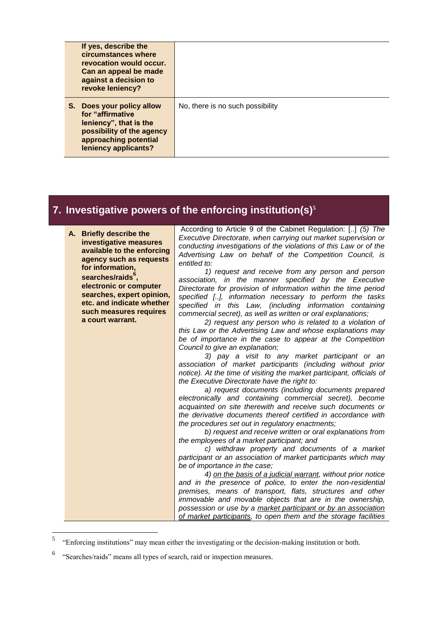| If yes, describe the<br>circumstances where<br>revocation would occur.<br>Can an appeal be made<br>against a decision to<br>revoke leniency?           |                                  |
|--------------------------------------------------------------------------------------------------------------------------------------------------------|----------------------------------|
| S. Does your policy allow<br>for "affirmative"<br>leniency", that is the<br>possibility of the agency<br>approaching potential<br>leniency applicants? | No, there is no such possibility |

# **7. Investigative powers of the enforcing institution(s)<sup>5</sup>**

| A. Briefly describe the<br>investigative measures<br>available to the enforcing<br>agency such as requests<br>for information, | According to Article 9 of the Cabinet Regulation: [] (5) The<br>Executive Directorate, when carrying out market supervision or<br>conducting investigations of the violations of this Law or of the<br>Advertising Law on behalf of the Competition Council, is<br>entitled to: |
|--------------------------------------------------------------------------------------------------------------------------------|---------------------------------------------------------------------------------------------------------------------------------------------------------------------------------------------------------------------------------------------------------------------------------|
| searches/raids <sup>°</sup> ,                                                                                                  | 1) request and receive from any person and person<br>association, in the manner specified by the Executive                                                                                                                                                                      |
| electronic or computer                                                                                                         | Directorate for provision of information within the time period                                                                                                                                                                                                                 |
| searches, expert opinion,                                                                                                      | specified [], information necessary to perform the tasks                                                                                                                                                                                                                        |
| etc. and indicate whether                                                                                                      | specified in this Law, (including information containing                                                                                                                                                                                                                        |
| such measures requires                                                                                                         | commercial secret), as well as written or oral explanations;                                                                                                                                                                                                                    |
| a court warrant.                                                                                                               | 2) request any person who is related to a violation of                                                                                                                                                                                                                          |
|                                                                                                                                | this Law or the Advertising Law and whose explanations may<br>be of importance in the case to appear at the Competition                                                                                                                                                         |
|                                                                                                                                | Council to give an explanation;                                                                                                                                                                                                                                                 |
|                                                                                                                                | 3) pay a visit to any market participant or an                                                                                                                                                                                                                                  |
|                                                                                                                                | association of market participants (including without prior                                                                                                                                                                                                                     |
|                                                                                                                                | notice). At the time of visiting the market participant, officials of                                                                                                                                                                                                           |
|                                                                                                                                | the Executive Directorate have the right to:                                                                                                                                                                                                                                    |
|                                                                                                                                | a) request documents (including documents prepared                                                                                                                                                                                                                              |
|                                                                                                                                | electronically and containing commercial secret), become<br>acquainted on site therewith and receive such documents or                                                                                                                                                          |
|                                                                                                                                | the derivative documents thereof certified in accordance with                                                                                                                                                                                                                   |
|                                                                                                                                | the procedures set out in regulatory enactments;                                                                                                                                                                                                                                |
|                                                                                                                                | b) request and receive written or oral explanations from                                                                                                                                                                                                                        |
|                                                                                                                                | the employees of a market participant; and                                                                                                                                                                                                                                      |
|                                                                                                                                | c) withdraw property and documents of a market                                                                                                                                                                                                                                  |
|                                                                                                                                | participant or an association of market participants which may                                                                                                                                                                                                                  |
|                                                                                                                                | be of importance in the case;<br>4) on the basis of a judicial warrant, without prior notice                                                                                                                                                                                    |
|                                                                                                                                | and in the presence of police, to enter the non-residential                                                                                                                                                                                                                     |
|                                                                                                                                | premises, means of transport, flats, structures and other                                                                                                                                                                                                                       |
|                                                                                                                                | immovable and movable objects that are in the ownership,                                                                                                                                                                                                                        |
|                                                                                                                                | possession or use by a market participant or by an association                                                                                                                                                                                                                  |
|                                                                                                                                | of market participants, to open them and the storage facilities                                                                                                                                                                                                                 |

 5 "Enforcing institutions" may mean either the investigating or the decision-making institution or both.

<sup>&</sup>lt;sup>6</sup> "Searches/raids" means all types of search, raid or inspection measures.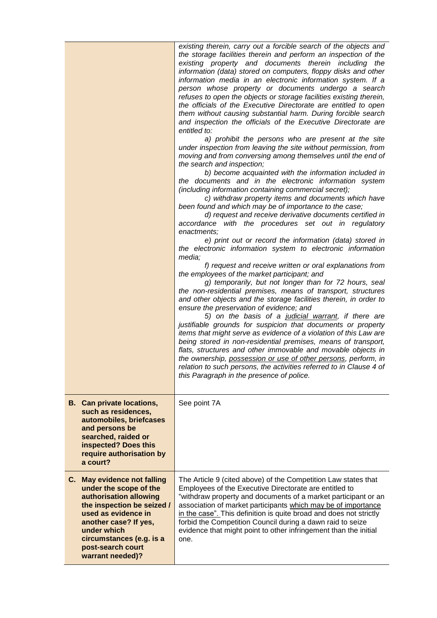| <b>B.</b> Can private locations,<br>such as residences,<br>automobiles, briefcases<br>and persons be<br>searched, raided or<br>inspected? Does this<br>require authorisation by<br>a court?                        | existing therein, carry out a forcible search of the objects and<br>the storage facilities therein and perform an inspection of the<br>existing property and documents therein including the<br>information (data) stored on computers, floppy disks and other<br>information media in an electronic information system. If a<br>person whose property or documents undergo a search<br>refuses to open the objects or storage facilities existing therein,<br>the officials of the Executive Directorate are entitled to open<br>them without causing substantial harm. During forcible search<br>and inspection the officials of the Executive Directorate are<br>entitled to:<br>a) prohibit the persons who are present at the site<br>under inspection from leaving the site without permission, from<br>moving and from conversing among themselves until the end of<br>the search and inspection;<br>b) become acquainted with the information included in<br>the documents and in the electronic information system<br>(including information containing commercial secret);<br>c) withdraw property items and documents which have<br>been found and which may be of importance to the case;<br>d) request and receive derivative documents certified in<br>accordance with the procedures set out in regulatory<br>enactments;<br>e) print out or record the information (data) stored in<br>the electronic information system to electronic information<br>media;<br>f) request and receive written or oral explanations from<br>the employees of the market participant; and<br>g) temporarily, but not longer than for 72 hours, seal<br>the non-residential premises, means of transport, structures<br>and other objects and the storage facilities therein, in order to<br>ensure the preservation of evidence; and<br>5) on the basis of a judicial warrant, if there are<br>justifiable grounds for suspicion that documents or property<br>items that might serve as evidence of a violation of this Law are<br>being stored in non-residential premises, means of transport,<br>flats, structures and other immovable and movable objects in<br>the ownership, possession or use of other persons, perform, in<br>relation to such persons, the activities referred to in Clause 4 of<br>this Paragraph in the presence of police.<br>See point 7A |
|--------------------------------------------------------------------------------------------------------------------------------------------------------------------------------------------------------------------|------------------------------------------------------------------------------------------------------------------------------------------------------------------------------------------------------------------------------------------------------------------------------------------------------------------------------------------------------------------------------------------------------------------------------------------------------------------------------------------------------------------------------------------------------------------------------------------------------------------------------------------------------------------------------------------------------------------------------------------------------------------------------------------------------------------------------------------------------------------------------------------------------------------------------------------------------------------------------------------------------------------------------------------------------------------------------------------------------------------------------------------------------------------------------------------------------------------------------------------------------------------------------------------------------------------------------------------------------------------------------------------------------------------------------------------------------------------------------------------------------------------------------------------------------------------------------------------------------------------------------------------------------------------------------------------------------------------------------------------------------------------------------------------------------------------------------------------------------------------------------------------------------------------------------------------------------------------------------------------------------------------------------------------------------------------------------------------------------------------------------------------------------------------------------------------------------------------------------------------------------------------------------------------------------------------------------------------------------------------------|
| C. May evidence not falling                                                                                                                                                                                        | The Article 9 (cited above) of the Competition Law states that                                                                                                                                                                                                                                                                                                                                                                                                                                                                                                                                                                                                                                                                                                                                                                                                                                                                                                                                                                                                                                                                                                                                                                                                                                                                                                                                                                                                                                                                                                                                                                                                                                                                                                                                                                                                                                                                                                                                                                                                                                                                                                                                                                                                                                                                                                         |
| under the scope of the<br>authorisation allowing<br>the inspection be seized /<br>used as evidence in<br>another case? If yes,<br>under which<br>circumstances (e.g. is a<br>post-search court<br>warrant needed)? | Employees of the Executive Directorate are entitled to<br>"withdraw property and documents of a market participant or an<br>association of market participants which may be of importance<br>in the case". This definition is quite broad and does not strictly<br>forbid the Competition Council during a dawn raid to seize<br>evidence that might point to other infringement than the initial<br>one.                                                                                                                                                                                                                                                                                                                                                                                                                                                                                                                                                                                                                                                                                                                                                                                                                                                                                                                                                                                                                                                                                                                                                                                                                                                                                                                                                                                                                                                                                                                                                                                                                                                                                                                                                                                                                                                                                                                                                              |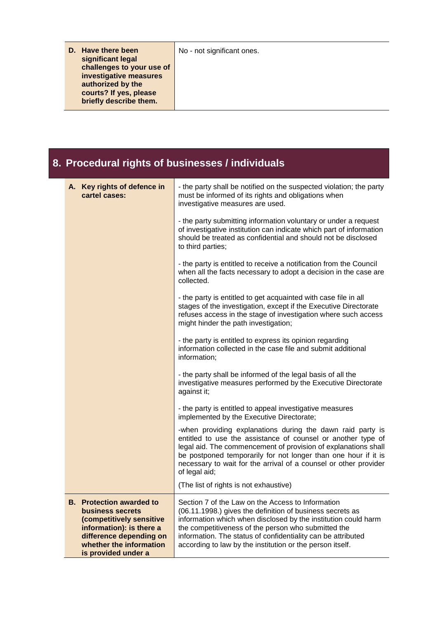| D. Have there been<br>significant legal<br>challenges to your use of<br>investigative measures<br>authorized by the<br>courts? If yes, please<br>briefly describe them. | No - not significant ones. |
|-------------------------------------------------------------------------------------------------------------------------------------------------------------------------|----------------------------|
|                                                                                                                                                                         |                            |

#### **8. Procedural rights of businesses / individuals A. Key rights of defence in cartel cases:** - the party shall be notified on the suspected violation; the party must be informed of its rights and obligations when investigative measures are used. - the party submitting information voluntary or under a request of investigative institution can indicate which part of information should be treated as confidential and should not be disclosed to third parties; - the party is entitled to receive a notification from the Council when all the facts necessary to adopt a decision in the case are collected. - the party is entitled to get acquainted with case file in all stages of the investigation, except if the Executive Directorate refuses access in the stage of investigation where such access might hinder the path investigation; - the party is entitled to express its opinion regarding information collected in the case file and submit additional information; - the party shall be informed of the legal basis of all the investigative measures performed by the Executive Directorate against it; - the party is entitled to appeal investigative measures implemented by the Executive Directorate; -when providing explanations during the dawn raid party is entitled to use the assistance of counsel or another type of legal aid. The commencement of provision of explanations shall be postponed temporarily for not longer than one hour if it is necessary to wait for the arrival of a counsel or other provider of legal aid; (The list of rights is not exhaustive) **B. Protection awarded to business secrets (competitively sensitive information): is there a difference depending on whether the information is provided under a**  Section 7 of the Law on the Access to Information (06.11.1998.) gives the definition of business secrets as information which when disclosed by the institution could harm the competitiveness of the person who submitted the information. The status of confidentiality can be attributed according to law by the institution or the person itself.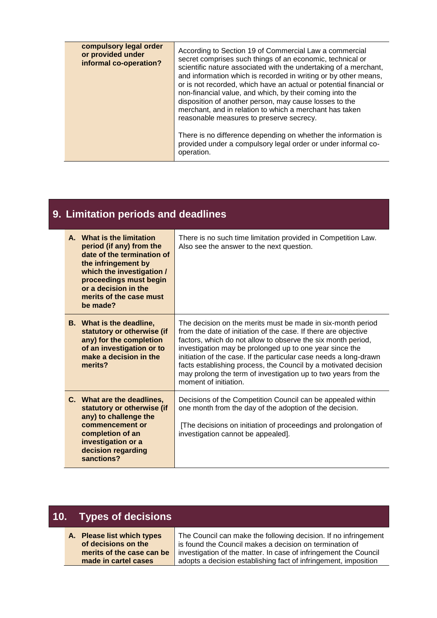| compulsory legal order<br>or provided under<br>informal co-operation? | According to Section 19 of Commercial Law a commercial<br>secret comprises such things of an economic, technical or<br>scientific nature associated with the undertaking of a merchant,<br>and information which is recorded in writing or by other means,<br>or is not recorded, which have an actual or potential financial or<br>non-financial value, and which, by their coming into the<br>disposition of another person, may cause losses to the<br>merchant, and in relation to which a merchant has taken<br>reasonable measures to preserve secrecy.<br>There is no difference depending on whether the information is<br>provided under a compulsory legal order or under informal co-<br>operation. |
|-----------------------------------------------------------------------|----------------------------------------------------------------------------------------------------------------------------------------------------------------------------------------------------------------------------------------------------------------------------------------------------------------------------------------------------------------------------------------------------------------------------------------------------------------------------------------------------------------------------------------------------------------------------------------------------------------------------------------------------------------------------------------------------------------|
|-----------------------------------------------------------------------|----------------------------------------------------------------------------------------------------------------------------------------------------------------------------------------------------------------------------------------------------------------------------------------------------------------------------------------------------------------------------------------------------------------------------------------------------------------------------------------------------------------------------------------------------------------------------------------------------------------------------------------------------------------------------------------------------------------|

# **9. Limitation periods and deadlines**

| A. What is the limitation<br>period (if any) from the<br>date of the termination of<br>the infringement by<br>which the investigation /<br>proceedings must begin<br>or a decision in the<br>merits of the case must<br>be made? | There is no such time limitation provided in Competition Law.<br>Also see the answer to the next question.                                                                                                                                                                                                                                                                                                                                                                                   |
|----------------------------------------------------------------------------------------------------------------------------------------------------------------------------------------------------------------------------------|----------------------------------------------------------------------------------------------------------------------------------------------------------------------------------------------------------------------------------------------------------------------------------------------------------------------------------------------------------------------------------------------------------------------------------------------------------------------------------------------|
| <b>B.</b> What is the deadline,<br>statutory or otherwise (if<br>any) for the completion<br>of an investigation or to<br>make a decision in the<br>merits?                                                                       | The decision on the merits must be made in six-month period<br>from the date of initiation of the case. If there are objective<br>factors, which do not allow to observe the six month period,<br>investigation may be prolonged up to one year since the<br>initiation of the case. If the particular case needs a long-drawn<br>facts establishing process, the Council by a motivated decision<br>may prolong the term of investigation up to two years from the<br>moment of initiation. |
| C. What are the deadlines,<br>statutory or otherwise (if<br>any) to challenge the<br>commencement or<br>completion of an<br>investigation or a<br>decision regarding<br>sanctions?                                               | Decisions of the Competition Council can be appealed within<br>one month from the day of the adoption of the decision.<br>[The decisions on initiation of proceedings and prolongation of<br>investigation cannot be appealed].                                                                                                                                                                                                                                                              |

|    | 10. Types of decisions                                |                                                                                                                                     |
|----|-------------------------------------------------------|-------------------------------------------------------------------------------------------------------------------------------------|
| A. | <b>Please list which types</b><br>of decisions on the | The Council can make the following decision. If no infringement<br>is found the Council makes a decision on termination of          |
|    | merits of the case can be<br>made in cartel cases     | investigation of the matter. In case of infringement the Council<br>adopts a decision establishing fact of infringement, imposition |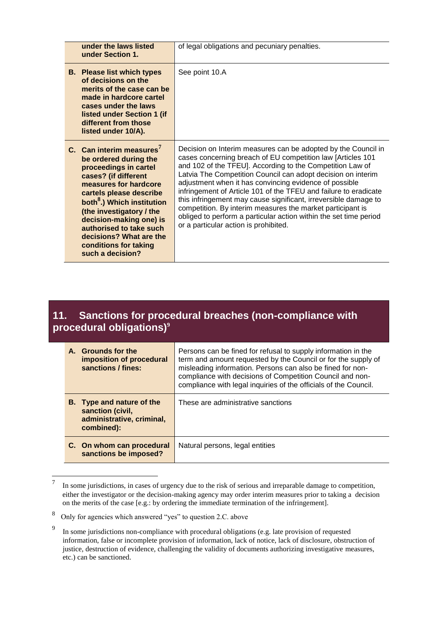| under the laws listed<br>under Section 1.                                                                                                                                                                                                                                                                                                                              | of legal obligations and pecuniary penalties.                                                                                                                                                                                                                                                                                                                                                                                                                                                                                                                                                                                          |
|------------------------------------------------------------------------------------------------------------------------------------------------------------------------------------------------------------------------------------------------------------------------------------------------------------------------------------------------------------------------|----------------------------------------------------------------------------------------------------------------------------------------------------------------------------------------------------------------------------------------------------------------------------------------------------------------------------------------------------------------------------------------------------------------------------------------------------------------------------------------------------------------------------------------------------------------------------------------------------------------------------------------|
| <b>B.</b> Please list which types<br>of decisions on the<br>merits of the case can be<br>made in hardcore cartel<br>cases under the laws<br>listed under Section 1 (if<br>different from those<br>listed under 10/A).                                                                                                                                                  | See point 10.A                                                                                                                                                                                                                                                                                                                                                                                                                                                                                                                                                                                                                         |
| C. Can interim measures <sup>7</sup><br>be ordered during the<br>proceedings in cartel<br>cases? (if different<br>measures for hardcore<br>cartels please describe<br>both <sup>8</sup> .) Which institution<br>(the investigatory / the<br>decision-making one) is<br>authorised to take such<br>decisions? What are the<br>conditions for taking<br>such a decision? | Decision on Interim measures can be adopted by the Council in<br>cases concerning breach of EU competition law [Articles 101<br>and 102 of the TFEU]. According to the Competition Law of<br>Latvia The Competition Council can adopt decision on interim<br>adjustment when it has convincing evidence of possible<br>infringement of Article 101 of the TFEU and failure to eradicate<br>this infringement may cause significant, irreversible damage to<br>competition. By interim measures the market participant is<br>obliged to perform a particular action within the set time period<br>or a particular action is prohibited. |

### **11. Sanctions for procedural breaches (non-compliance with procedural obligations)<sup>9</sup>**

| A. Grounds for the<br>imposition of procedural<br>sanctions / fines:                            | Persons can be fined for refusal to supply information in the<br>term and amount requested by the Council or for the supply of<br>misleading information. Persons can also be fined for non-<br>compliance with decisions of Competition Council and non-<br>compliance with legal inquiries of the officials of the Council. |
|-------------------------------------------------------------------------------------------------|-------------------------------------------------------------------------------------------------------------------------------------------------------------------------------------------------------------------------------------------------------------------------------------------------------------------------------|
| <b>B.</b> Type and nature of the<br>sanction (civil,<br>administrative, criminal,<br>combined): | These are administrative sanctions                                                                                                                                                                                                                                                                                            |
| C. On whom can procedural<br>sanctions be imposed?                                              | Natural persons, legal entities                                                                                                                                                                                                                                                                                               |

 7 In some jurisdictions, in cases of urgency due to the risk of serious and irreparable damage to competition, either the investigator or the decision-making agency may order interim measures prior to taking a decision on the merits of the case [e.g.: by ordering the immediate termination of the infringement].

<sup>8</sup> Only for agencies which answered "yes" to question 2.C. above

<sup>9</sup> In some jurisdictions non-compliance with procedural obligations (e.g. late provision of requested information, false or incomplete provision of information, lack of notice, lack of disclosure, obstruction of justice, destruction of evidence, challenging the validity of documents authorizing investigative measures, etc.) can be sanctioned.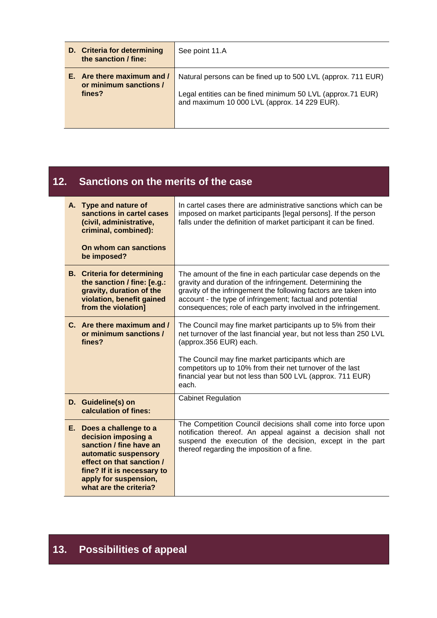| D. Criteria for determining<br>the sanction / fine:            | See point 11.A                                                                                                                                                             |
|----------------------------------------------------------------|----------------------------------------------------------------------------------------------------------------------------------------------------------------------------|
| E. Are there maximum and /<br>or minimum sanctions /<br>fines? | Natural persons can be fined up to 500 LVL (approx. 711 EUR)<br>Legal entities can be fined minimum 50 LVL (approx.71 EUR)<br>and maximum 10 000 LVL (approx. 14 229 EUR). |

## **12. Sanctions on the merits of the case**

| A. Type and nature of<br>sanctions in cartel cases<br>(civil, administrative,<br>criminal, combined):                                                                                                             | In cartel cases there are administrative sanctions which can be<br>imposed on market participants [legal persons]. If the person<br>falls under the definition of market participant it can be fined.                                                                                                                         |
|-------------------------------------------------------------------------------------------------------------------------------------------------------------------------------------------------------------------|-------------------------------------------------------------------------------------------------------------------------------------------------------------------------------------------------------------------------------------------------------------------------------------------------------------------------------|
| On whom can sanctions<br>be imposed?                                                                                                                                                                              |                                                                                                                                                                                                                                                                                                                               |
| <b>B.</b> Criteria for determining<br>the sanction / fine: [e.g.:<br>gravity, duration of the<br>violation, benefit gained<br>from the violation]                                                                 | The amount of the fine in each particular case depends on the<br>gravity and duration of the infringement. Determining the<br>gravity of the infringement the following factors are taken into<br>account - the type of infringement; factual and potential<br>consequences; role of each party involved in the infringement. |
| C. Are there maximum and /<br>or minimum sanctions /<br>fines?                                                                                                                                                    | The Council may fine market participants up to 5% from their<br>net turnover of the last financial year, but not less than 250 LVL<br>(approx.356 EUR) each.<br>The Council may fine market participants which are                                                                                                            |
|                                                                                                                                                                                                                   | competitors up to 10% from their net turnover of the last<br>financial year but not less than 500 LVL (approx. 711 EUR)<br>each.                                                                                                                                                                                              |
| D. Guideline(s) on<br>calculation of fines:                                                                                                                                                                       | <b>Cabinet Regulation</b>                                                                                                                                                                                                                                                                                                     |
| E. Does a challenge to a<br>decision imposing a<br>sanction / fine have an<br>automatic suspensory<br>effect on that sanction /<br>fine? If it is necessary to<br>apply for suspension,<br>what are the criteria? | The Competition Council decisions shall come into force upon<br>notification thereof. An appeal against a decision shall not<br>suspend the execution of the decision, except in the part<br>thereof regarding the imposition of a fine.                                                                                      |

# **13. Possibilities of appeal**